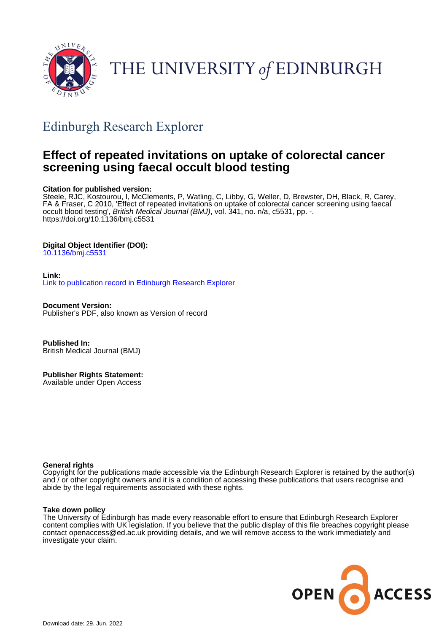

# THE UNIVERSITY of EDINBURGH

## Edinburgh Research Explorer

## **Effect of repeated invitations on uptake of colorectal cancer screening using faecal occult blood testing**

## **Citation for published version:**

Steele, RJC, Kostourou, I, McClements, P, Watling, C, Libby, G, Weller, D, Brewster, DH, Black, R, Carey, FA & Fraser, C 2010, 'Effect of repeated invitations on uptake of colorectal cancer screening using faecal occult blood testing', *British Medical Journal (BMJ)*, vol. 341, no. n/a, c5531, pp. -. <https://doi.org/10.1136/bmj.c5531>

## **Digital Object Identifier (DOI):**

[10.1136/bmj.c5531](https://doi.org/10.1136/bmj.c5531)

#### **Link:** [Link to publication record in Edinburgh Research Explorer](https://www.research.ed.ac.uk/en/publications/6461cb48-410a-454a-887b-5b4711ff883d)

**Document Version:** Publisher's PDF, also known as Version of record

**Published In:** British Medical Journal (BMJ)

**Publisher Rights Statement:** Available under Open Access

### **General rights**

Copyright for the publications made accessible via the Edinburgh Research Explorer is retained by the author(s) and / or other copyright owners and it is a condition of accessing these publications that users recognise and abide by the legal requirements associated with these rights.

### **Take down policy**

The University of Edinburgh has made every reasonable effort to ensure that Edinburgh Research Explorer content complies with UK legislation. If you believe that the public display of this file breaches copyright please contact openaccess@ed.ac.uk providing details, and we will remove access to the work immediately and investigate your claim.

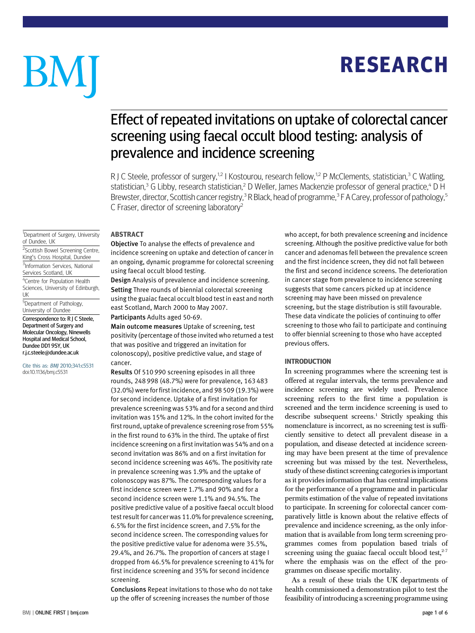# **RESEARCH** RESEARCH

# BM

## Effect of repeated invitations on uptake of colorectal cancer screening using faecal occult blood testing: analysis of prevalence and incidence screening

R J C Steele, professor of surgery,<sup>1,2</sup> I Kostourou, research fellow,<sup>1,2</sup> P McClements, statistician,<sup>3</sup> C Watling, statistician,<sup>3</sup> G Libby, research statistician,<sup>2</sup> D Weller, James Mackenzie professor of general practice,<sup>4</sup> D H Brewster, director, Scottish cancer registry,<sup>3</sup> R Black, head of programme,<sup>3</sup> F A Carey, professor of pathology,<sup>5</sup> C Fraser, director of screening laboratory2

Objective To analyse the effects of prevalence and incidence screening on uptake and detection of cancer in an ongoing, dynamic programme for colorectal screening using faecal occult blood testing.

Design Analysis of prevalence and incidence screening. Setting Three rounds of biennial colorectal screening using the guaiac faecal occult blood test in east and north east Scotland, March 2000 to May 2007.

Participants Adults aged 50-69.

Main outcome measures Uptake of screening, test positivity (percentage of those invited who returned a test that was positive and triggered an invitation for colonoscopy), positive predictive value, and stage of cancer.

Results Of 510 990 screening episodes in all three rounds, 248 998 (48.7%) were for prevalence, 163 483 (32.0%) were for first incidence, and 98 509 (19.3%) were for second incidence. Uptake of a first invitation for prevalence screening was 53% and for a second and third invitation was 15% and 12%. In the cohort invited for the first round, uptake of prevalence screening rose from 55% in the first round to 63% in the third. The uptake of first incidence screening on a first invitation was 54% and on a second invitation was 86% and on a first invitation for second incidence screening was 46%. The positivity rate in prevalence screening was 1.9% and the uptake of colonoscopy was 87%. The corresponding values for a first incidence screen were 1.7% and 90% and for a second incidence screen were 1.1% and 94.5%. The positive predictive value of a positive faecal occult blood test result for cancer was 11.0% for prevalence screening, 6.5% for the first incidence screen, and 7.5% for the second incidence screen. The corresponding values for the positive predictive value for adenoma were 35.5%, 29.4%, and 26.7%. The proportion of cancers at stage I dropped from 46.5% for prevalence screening to 41% for first incidence screening and 35% for second incidence screening.

Conclusions Repeat invitations to those who do not take up the offer of screening increases the number of those

who accept, for both prevalence screening and incidence screening. Although the positive predictive value for both cancer and adenomas fell between the prevalence screen and the first incidence screen, they did not fall between the first and second incidence screens. The deterioration in cancer stage from prevalence to incidence screening suggests that some cancers picked up at incidence screening may have been missed on prevalence screening, but the stage distribution is still favourable. These data vindicate the policies of continuing to offer screening to those who fail to participate and continuing to offer biennial screening to those who have accepted previous offers.

#### **INTRODUCTION**

In screening programmes where the screening test is offered at regular intervals, the terms prevalence and incidence screening are widely used. Prevalence screening refers to the first time a population is screened and the term incidence screening is used to describe subsequent screens.<sup>1</sup> Strictly speaking this nomenclature is incorrect, as no screening test is sufficiently sensitive to detect all prevalent disease in a population, and disease detected at incidence screening may have been present at the time of prevalence screening but was missed by the test. Nevertheless, study of these distinct screening categories is important as it provides information that has central implications for the performance of a programme and in particular permits estimation of the value of repeated invitations to participate. In screening for colorectal cancer comparatively little is known about the relative effects of prevalence and incidence screening, as the only information that is available from long term screening programmes comes from population based trials of screening using the guaiac faecal occult blood test, $2-7$ where the emphasis was on the effect of the programmes on disease specific mortality.

As a result of these trials the UK departments of health commissioned a demonstration pilot to test the feasibility of introducing a screening programme using

<sup>1</sup>Department of Surgery, University of Dundee, UK

<sup>2</sup>Scottish Bowel Screening Centre, King's Cross Hospital, Dundee <sup>3</sup>Information Services, National Services Scotland, UK 4 Centre for Population Health Sciences, University of Edinburgh, UK <sup>5</sup>Department of Pathology,

University of Dundee

Correspondence to: R J C Steele, Department of Surgery and Molecular Oncology, Ninewells Hospital and Medical School, Dundee DD1 9SY, UK r.j.c.steele@dundee.ac.uk

Cite this as: BMJ 2010;341:c5531 doi:10.1136/bmj.c5531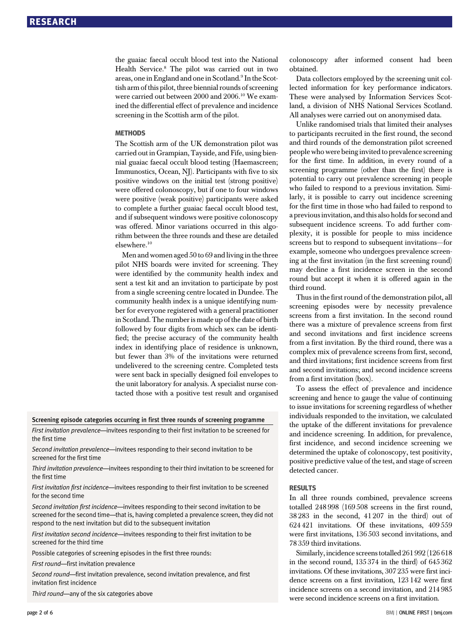the guaiac faecal occult blood test into the National Health Service.<sup>8</sup> The pilot was carried out in two areas, one in England and one in Scotland.9 In the Scottish arm of this pilot, three biennial rounds of screening were carried out between 2000 and 2006.<sup>10</sup> We examined the differential effect of prevalence and incidence screening in the Scottish arm of the pilot.

#### **METHODS**

The Scottish arm of the UK demonstration pilot was carried out in Grampian, Tayside, and Fife, using biennial guaiac faecal occult blood testing (Haemascreen; Immunostics, Ocean, NJ). Participants with five to six positive windows on the initial test (strong positive) were offered colonoscopy, but if one to four windows were positive (weak positive) participants were asked to complete a further guaiac faecal occult blood test, and if subsequent windows were positive colonoscopy was offered. Minor variations occurred in this algorithm between the three rounds and these are detailed elsewhere.10

Men and women aged 50 to 69 and living in the three pilot NHS boards were invited for screening. They were identified by the community health index and sent a test kit and an invitation to participate by post from a single screening centre located in Dundee. The community health index is a unique identifying number for everyone registered with a general practitioner in Scotland. The number is made up of the date of birth followed by four digits from which sex can be identified; the precise accuracy of the community health index in identifying place of residence is unknown, but fewer than 3% of the invitations were returned undelivered to the screening centre. Completed tests were sent back in specially designed foil envelopes to the unit laboratory for analysis. A specialist nurse contacted those with a positive test result and organised

#### Screening episode categories occurring in first three rounds of screening programme

First invitation prevalence—invitees responding to their first invitation to be screened for the first time

Second invitation prevalence—invitees responding to their second invitation to be screened for the first time

Third invitation prevalence—invitees responding to their third invitation to be screened for the first time

First invitation first incidence--invitees responding to their first invitation to be screened for the second time

Second invitation first incidence—invitees responding to their second invitation to be screened for the second time—that is, having completed a prevalence screen, they did not respond to the next invitation but did to the subsequent invitation

First invitation second incidence—invitees responding to their first invitation to be screened for the third time

Possible categories of screening episodes in the first three rounds:

First round—first invitation prevalence

Second round—first invitation prevalence, second invitation prevalence, and first invitation first incidence

Third round—any of the six categories above

colonoscopy after informed consent had been obtained.

Data collectors employed by the screening unit collected information for key performance indicators. These were analysed by Information Services Scotland, a division of NHS National Services Scotland. All analyses were carried out on anonymised data.

Unlike randomised trials that limited their analyses to participants recruited in the first round, the second and third rounds of the demonstration pilot screened people who were being invited to prevalence screening for the first time. In addition, in every round of a screening programme (other than the first) there is potential to carry out prevalence screening in people who failed to respond to a previous invitation. Similarly, it is possible to carry out incidence screening for the first time in those who had failed to respond to a previous invitation, and this also holds for second and subsequent incidence screens. To add further complexity, it is possible for people to miss incidence screens but to respond to subsequent invitations—for example, someone who undergoes prevalence screening at the first invitation (in the first screening round) may decline a first incidence screen in the second round but accept it when it is offered again in the third round.

Thus in the first round of the demonstration pilot, all screening episodes were by necessity prevalence screens from a first invitation. In the second round there was a mixture of prevalence screens from first and second invitations and first incidence screens from a first invitation. By the third round, there was a complex mix of prevalence screens from first, second, and third invitations; first incidence screens from first and second invitations; and second incidence screens from a first invitation (box).

To assess the effect of prevalence and incidence screening and hence to gauge the value of continuing to issue invitations for screening regardless of whether individuals responded to the invitation, we calculated the uptake of the different invitations for prevalence and incidence screening. In addition, for prevalence, first incidence, and second incidence screening we determined the uptake of colonoscopy, test positivity, positive predictive value of the test, and stage of screen detected cancer.

#### **RESIJITS**

In all three rounds combined, prevalence screens totalled 248 998 (169 508 screens in the first round, 38 283 in the second, 41 207 in the third) out of 624 421 invitations. Of these invitations, 409 559 were first invitations, 136 503 second invitations, and 78 359 third invitations.

Similarly, incidence screenstotalled 261 992 (126 618 in the second round, 135 374 in the third) of 645 362 invitations. Of these invitations, 307 235 were first incidence screens on a first invitation, 123 142 were first incidence screens on a second invitation, and 214 985 were second incidence screens on a first invitation.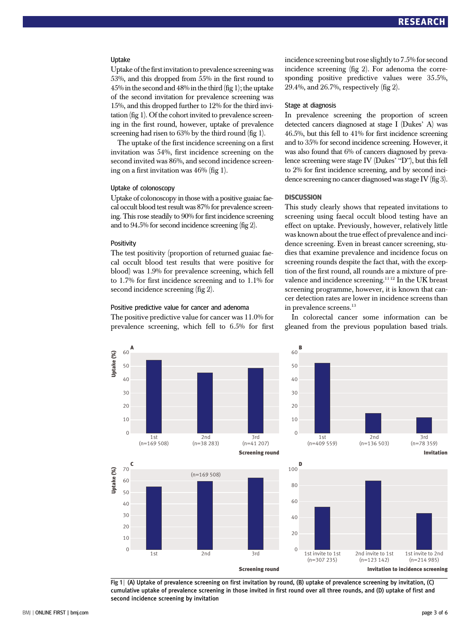#### Uptake

Uptake of the first invitation to prevalence screening was 53%, and this dropped from 55% in the first round to  $45\%$  in the second and  $48\%$  in the third (fig 1); the uptake of the second invitation for prevalence screening was 15%, and this dropped further to 12% for the third invitation (fig 1). Of the cohort invited to prevalence screening in the first round, however, uptake of prevalence screening had risen to 63% by the third round (fig 1).

The uptake of the first incidence screening on a first invitation was 54%, first incidence screening on the second invited was 86%, and second incidence screening on a first invitation was 46% (fig 1).

#### Uptake of colonoscopy

Uptake of colonoscopy in those with a positive guaiac faecal occult blood test result was 87% for prevalence screening. This rose steadily to 90% for first incidence screening and to 94.5% for second incidence screening (fig 2).

#### **Positivity**

The test positivity (proportion of returned guaiac faecal occult blood test results that were positive for blood) was 1.9% for prevalence screening, which fell to 1.7% for first incidence screening and to 1.1% for second incidence screening (fig 2).

#### Positive predictive value for cancer and adenoma

The positive predictive value for cancer was 11.0% for prevalence screening, which fell to 6.5% for first incidence screening but rose slightly to 7.5% for second incidence screening (fig 2). For adenoma the corresponding positive predictive values were 35.5%, 29.4%, and 26.7%, respectively (fig 2).

#### Stage at diagnosis

In prevalence screening the proportion of screen detected cancers diagnosed at stage I (Dukes' A) was 46.5%, but this fell to 41% for first incidence screening and to 35% for second incidence screening. However, it was also found that 6% of cancers diagnosed by prevalence screening were stage IV (Dukes' "D"), but this fell to 2% for first incidence screening, and by second incidence screening no cancer diagnosed was stage IV (fig 3).

#### **DISCUSSION**

This study clearly shows that repeated invitations to screening using faecal occult blood testing have an effect on uptake. Previously, however, relatively little was known about the true effect of prevalence and incidence screening. Even in breast cancer screening, studies that examine prevalence and incidence focus on screening rounds despite the fact that, with the exception of the first round, all rounds are a mixture of prevalence and incidence screening.<sup>1112</sup> In the UK breast screening programme, however, it is known that cancer detection rates are lower in incidence screens than in prevalence screens.<sup>13</sup>

In colorectal cancer some information can be gleaned from the previous population based trials.



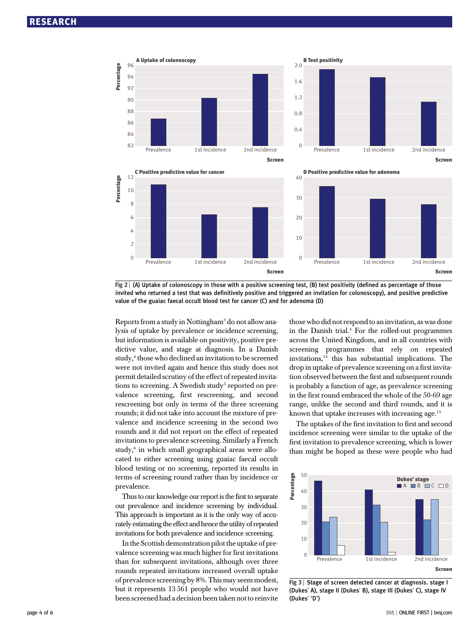





D Positive predictive value for adenoma

Screen Screen Screen Screen Screen Screen Screen Screen Screen Screen Screen Screen Screen Screen Screen Screen





Reports from a study in Nottingham<sup>3</sup> do not allow analysis of uptake by prevalence or incidence screening, but information is available on positivity, positive predictive value, and stage at diagnosis. In a Danish study,<sup>4</sup> those who declined an invitation to be screened were not invited again and hence this study does not permit detailed scrutiny of the effect of repeated invitations to screening. A Swedish study<sup>5</sup> reported on prevalence screening, first rescreening, and second rescreening but only in terms of the three screening rounds; it did not take into account the mixture of prevalence and incidence screening in the second two rounds and it did not report on the effect of repeated invitations to prevalence screening. Similarly a French study, $6$  in which small geographical areas were allocated to either screening using guaiac faecal occult blood testing or no screening, reported its results in terms of screening round rather than by incidence or prevalence.

Thus to our knowledge our report is the first to separate out prevalence and incidence screening by individual. This approach is important as it is the only way of accurately estimating the effect and hence the utility of repeated invitations for both prevalence and incidence screening.

In the Scottish demonstration pilot the uptake of prevalence screening was much higher for first invitations than for subsequent invitations, although over three rounds repeated invitations increased overall uptake of prevalence screening by 8%. This may seem modest, but it represents 13 561 people who would not have been screened had a decision been taken not to reinvite those who did not respond to an invitation, as was done in the Danish trial.4 For the rolled-out programmes across the United Kingdom, and in all countries with screening programmes that rely on repeated invitations, $14$  this has substantial implications. The drop in uptake of prevalence screening on a first invitation observed between the first and subsequent rounds is probably a function of age, as prevalence screening in the first round embraced the whole of the 50-69 age range, unlike the second and third rounds, and it is known that uptake increases with increasing age. $15$ 

The uptakes of the first invitation to first and second incidence screening were similar to the uptake of the first invitation to prevalence screening, which is lower than might be hoped as these were people who had



Fig 3 | Stage of screen detected cancer at diagnosis. stage | (Dukes' A), stage II (Dukes' B), stage III (Dukes' C), stage IV (Dukes' "D")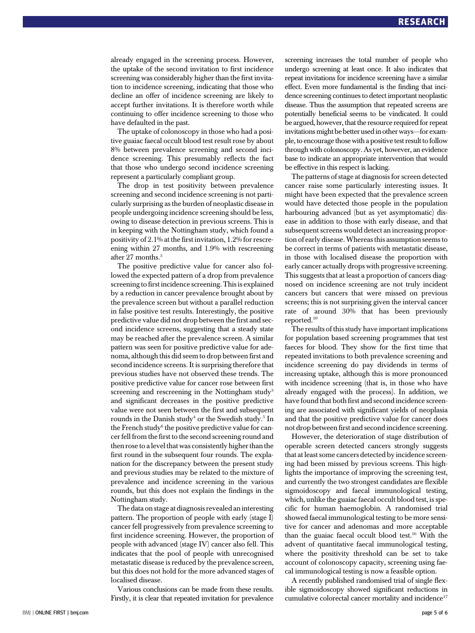already engaged in the screening process. However, the uptake of the second invitation to first incidence screening was considerably higher than the first invitation to incidence screening, indicating that those who decline an offer of incidence screening are likely to accept further invitations. It is therefore worth while continuing to offer incidence screening to those who have defaulted in the past.

The uptake of colonoscopy in those who had a positive guaiac faecal occult blood test result rose by about 8% between prevalence screening and second incidence screening. This presumably reflects the fact that those who undergo second incidence screening represent a particularly compliant group.

The drop in test positivity between prevalence screening and second incidence screening is not particularly surprising as the burden of neoplastic disease in people undergoing incidence screening should be less, owing to disease detection in previous screens. This is in keeping with the Nottingham study, which found a positivity of 2.1% at the first invitation, 1.2% for rescreening within 27 months, and 1.9% with rescreening after 27 months.<sup>3</sup>

The positive predictive value for cancer also followed the expected pattern of a drop from prevalence screening to first incidence screening. This is explained by a reduction in cancer prevalence brought about by the prevalence screen but without a parallel reduction in false positive test results. Interestingly, the positive predictive value did not drop between the first and second incidence screens, suggesting that a steady state may be reached after the prevalence screen. A similar pattern was seen for positive predictive value for adenoma, although this did seem to drop between first and second incidence screens. It is surprising therefore that previous studies have not observed these trends. The positive predictive value for cancer rose between first screening and rescreening in the Nottingham study<sup>3</sup> and significant decreases in the positive predictive value were not seen between the first and subsequent rounds in the Danish study<sup>4</sup> or the Swedish study.<sup>5</sup> In the French study<sup>6</sup> the positive predictive value for cancer fell from the first to the second screening round and then rose to a level that was consistently higher than the first round in the subsequent four rounds. The explanation for the discrepancy between the present study and previous studies may be related to the mixture of prevalence and incidence screening in the various rounds, but this does not explain the findings in the Nottingham study.

The data on stage at diagnosis revealed an interesting pattern. The proportion of people with early (stage I) cancer fell progressively from prevalence screening to first incidence screening. However, the proportion of people with advanced (stage IV) cancer also fell. This indicates that the pool of people with unrecognised metastatic disease is reduced by the prevalence screen, but this does not hold for the more advanced stages of localised disease.

Various conclusions can be made from these results. Firstly, it is clear that repeated invitation for prevalence screening increases the total number of people who undergo screening at least once. It also indicates that repeat invitations for incidence screening have a similar effect. Even more fundamental is the finding that incidence screening continues to detect important neoplastic disease. Thus the assumption that repeated screens are potentially beneficial seems to be vindicated. It could be argued, however, that the resource required for repeat invitations might be better used in other ways—for example, to encourage those with a positive test result to follow through with colonoscopy. As yet, however, an evidence base to indicate an appropriate intervention that would be effective in this respect is lacking.

The patterns of stage at diagnosis for screen detected cancer raise some particularly interesting issues. It might have been expected that the prevalence screen would have detected those people in the population harbouring advanced (but as yet asymptomatic) disease in addition to those with early disease, and that subsequent screens would detect an increasing proportion of early disease.Whereas this assumption seems to be correct in terms of patients with metastatic disease, in those with localised disease the proportion with early cancer actually drops with progressive screening. This suggests that at least a proportion of cancers diagnosed on incidence screening are not truly incident cancers but cancers that were missed on previous screens; this is not surprising given the interval cancer rate of around 30% that has been previously reported.10

The results of this study have important implications for population based screening programmes that test faeces for blood. They show for the first time that repeated invitations to both prevalence screening and incidence screening do pay dividends in terms of increasing uptake, although this is more pronounced with incidence screening (that is, in those who have already engaged with the process). In addition, we have found that both first and second incidence screening are associated with significant yields of neoplasia and that the positive predictive value for cancer does not drop between first and second incidence screening.

However, the deterioration of stage distribution of operable screen detected cancers strongly suggests that at least some cancers detected by incidence screening had been missed by previous screens. This highlights the importance of improving the screening test, and currently the two strongest candidates are flexible sigmoidoscopy and faecal immunological testing, which, unlike the guaiac faecal occult blood test, is specific for human haemoglobin. A randomised trial showed faecal immunological testing to be more sensitive for cancer and adenomas and more acceptable than the guaiac faecal occult blood test.16 With the advent of quantitative faecal immunological testing, where the positivity threshold can be set to take account of colonoscopy capacity, screening using faecal immunological testing is now a feasible option.

A recently published randomised trial of single flexible sigmoidoscopy showed significant reductions in cumulative colorectal cancer mortality and incidence<sup>17</sup>